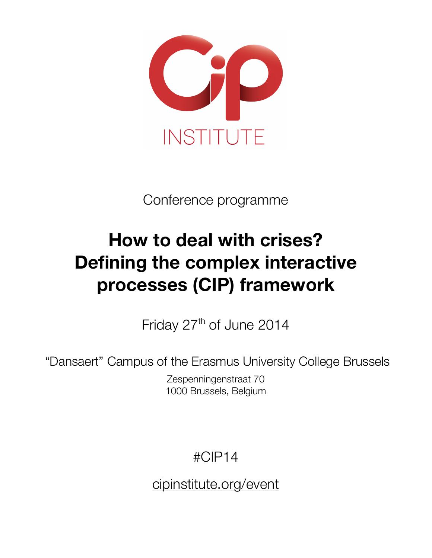

Conference programme

# **How to deal with crises? Defining the complex interactive processes (CIP) framework**

Friday 27<sup>th</sup> of June 2014

"Dansaert" Campus of the Erasmus University College Brussels

Zespenningenstraat 70 1000 Brussels, Belgium

#CIP14

cipinstitute.org/event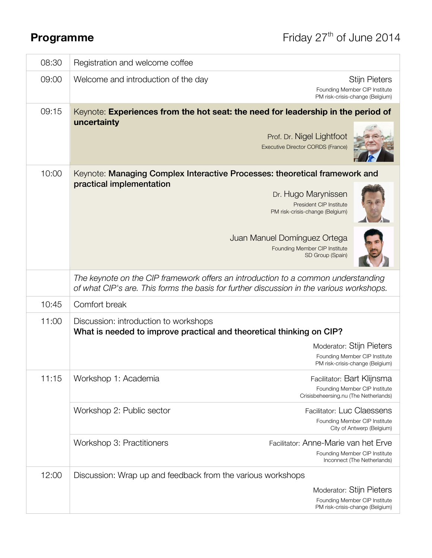| 08:30 | Registration and welcome coffee                                                                               |                                                                                                                                                                                                                                                      |
|-------|---------------------------------------------------------------------------------------------------------------|------------------------------------------------------------------------------------------------------------------------------------------------------------------------------------------------------------------------------------------------------|
| 09:00 | Welcome and introduction of the day                                                                           | <b>Stijn Pieters</b><br>Founding Member CIP Institute<br>PM risk-crisis-change (Belgium)                                                                                                                                                             |
| 09:15 | uncertainty                                                                                                   | Keynote: Experiences from the hot seat: the need for leadership in the period of<br>Prof. Dr. Nigel Lightfoot<br>Executive Director CORDS (France)                                                                                                   |
| 10:00 | practical implementation                                                                                      | Keynote: Managing Complex Interactive Processes: theoretical framework and<br>Dr. Hugo Marynissen<br>President CIP Institute<br>PM risk-crisis-change (Belgium)<br>Juan Manuel Domínguez Ortega<br>Founding Member CIP Institute<br>SD Group (Spain) |
|       |                                                                                                               | The keynote on the CIP framework offers an introduction to a common understanding<br>of what CIP's are. This forms the basis for further discussion in the various workshops.                                                                        |
| 10:45 | Comfort break                                                                                                 |                                                                                                                                                                                                                                                      |
| 11:00 | Discussion: introduction to workshops<br>What is needed to improve practical and theoretical thinking on CIP? | <b>Moderator: Stijn Pieters</b><br>Founding Member CIP Institute<br>PM risk-crisis-change (Belgium)                                                                                                                                                  |
| 11:15 | Workshop 1: Academia                                                                                          | Facilitator: Bart Klijnsma<br>Founding Member CIP Institute<br>Crisisbeheersing.nu (The Netherlands)                                                                                                                                                 |
|       | Workshop 2: Public sector                                                                                     | <b>Facilitator: Luc Claessens</b><br>Founding Member CIP Institute<br>City of Antwerp (Belgium)                                                                                                                                                      |
|       | Workshop 3: Practitioners                                                                                     | Facilitator: Anne-Marie van het Erve<br>Founding Member CIP Institute<br>Inconnect (The Netherlands)                                                                                                                                                 |
| 12:00 | Discussion: Wrap up and feedback from the various workshops                                                   | Moderator: Stijn Pieters<br>Founding Member CIP Institute<br>PM risk-crisis-change (Belgium)                                                                                                                                                         |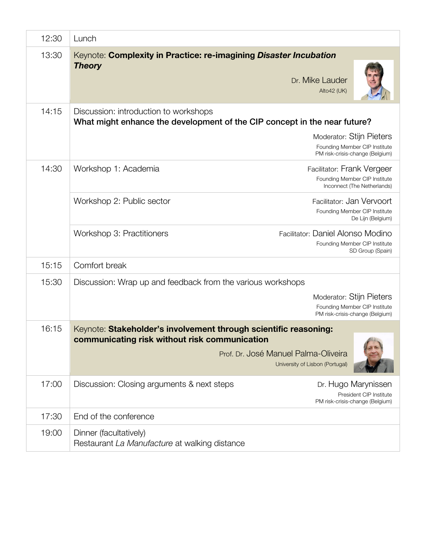| 12:30 | Lunch                                                                                                                                                                                                              |
|-------|--------------------------------------------------------------------------------------------------------------------------------------------------------------------------------------------------------------------|
| 13:30 | Keynote: Complexity in Practice: re-imagining Disaster Incubation<br><b>Theory</b><br>Dr. Mike Lauder<br>Alto42 (UK)                                                                                               |
| 14:15 | Discussion: introduction to workshops<br>What might enhance the development of the CIP concept in the near future?<br>Moderator: Stijn Pieters<br>Founding Member CIP Institute<br>PM risk-crisis-change (Belgium) |
| 14:30 | Workshop 1: Academia<br>Facilitator: Frank Vergeer<br>Founding Member CIP Institute<br>Inconnect (The Netherlands)                                                                                                 |
|       | Workshop 2: Public sector<br>Facilitator: Jan Vervoort<br>Founding Member CIP Institute<br>De Lijn (Belgium)                                                                                                       |
|       | Workshop 3: Practitioners<br>Facilitator: Daniel Alonso Modino<br>Founding Member CIP Institute<br>SD Group (Spain)                                                                                                |
| 15:15 | Comfort break                                                                                                                                                                                                      |
| 15:30 | Discussion: Wrap up and feedback from the various workshops<br>Moderator: Stijn Pieters<br>Founding Member CIP Institute<br>PM risk-crisis-change (Belgium)                                                        |
| 16:15 | Keynote: Stakeholder's involvement through scientific reasoning:<br>communicating risk without risk communication<br>Prof. Dr. José Manuel Palma-Oliveira<br>University of Lisbon (Portugal)                       |
| 17:00 | Discussion: Closing arguments & next steps<br>Dr. Hugo Marynissen<br>President CIP Institute<br>PM risk-crisis-change (Belgium)                                                                                    |
| 17:30 | End of the conference                                                                                                                                                                                              |
| 19:00 | Dinner (facultatively)<br>Restaurant La Manufacture at walking distance                                                                                                                                            |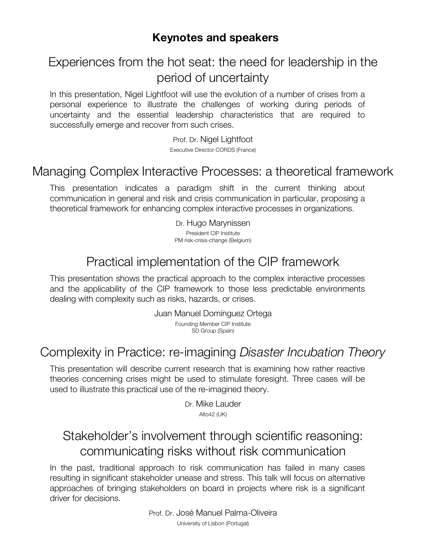#### **Keynotes and speakers**

# Experiences from the hot seat: the need for leadership in the period of uncertainty

In this presentation, Nigel Lightfoot will use the evolution of a number of crises from a personal experience to illustrate the challenges of working during periods of uncertainty and the essential leadership characteristics that are required to successfully emerge and recover from such crises.

> Prof. Dr. Nigel Lightfoot Executive Director CORDS (France)

# Managing Complex Interactive Processes: a theoretical framework

This presentation indicates a paradigm shift in the current thinking about communication in general and risk and crisis communication in particular, proposing a theoretical framework for enhancing complex interactive processes in organizations.

> Dr. Hugo Marynissen President CIP Institute PM risk-crisis-change (Belgium)

# Practical implementation of the CIP framework

This presentation shows the practical approach to the complex interactive processes and the applicability of the CIP framework to those less predictable environments dealing with complexity such as risks, hazards, or crises.

> Juan Manuel Domínguez Ortega Founding Member CIP Institute SD Group (Spain)

# Complexity in Practice: re-imagining *Disaster Incubation Theory*

This presentation will describe current research that is examining how rather reactive theories concerning crises might be used to stimulate foresight. Three cases will be used to illustrate this practical use of the re-imagined theory.

> Dr. Mike Lauder Alto42 (UK)

# Stakeholder's involvement through scientific reasoning: communicating risks without risk communication

In the past, traditional approach to risk communication has failed in many cases resulting in significant stakeholder unease and stress. This talk will focus on alternative approaches of bringing stakeholders on board in projects where risk is a significant driver for decisions.

> Prof. Dr. José Manuel Palma-Oliveira University of Lisbon (Portugal)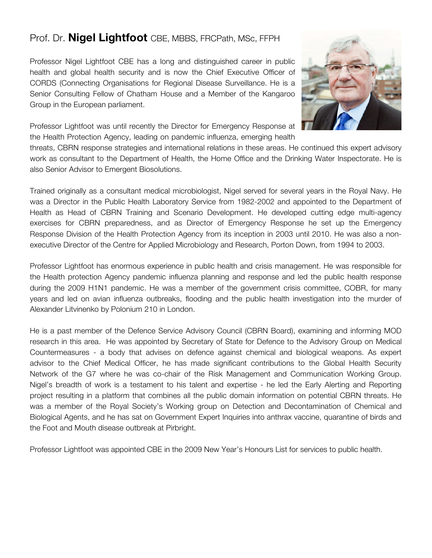#### Prof. Dr. **Nigel Lightfoot** CBE, MBBS, FRCPath, MSc, FFPH

Professor Nigel Lightfoot CBE has a long and distinguished career in public health and global health security and is now the Chief Executive Officer of CORDS (Connecting Organisations for Regional Disease Surveillance. He is a Senior Consulting Fellow of Chatham House and a Member of the Kangaroo Group in the European parliament.



Professor Lightfoot was until recently the Director for Emergency Response at the Health Protection Agency, leading on pandemic influenza, emerging health

threats, CBRN response strategies and international relations in these areas. He continued this expert advisory work as consultant to the Department of Health, the Home Office and the Drinking Water Inspectorate. He is also Senior Advisor to Emergent Biosolutions.

Trained originally as a consultant medical microbiologist, Nigel served for several years in the Royal Navy. He was a Director in the Public Health Laboratory Service from 1982-2002 and appointed to the Department of Health as Head of CBRN Training and Scenario Development. He developed cutting edge multi-agency exercises for CBRN preparedness, and as Director of Emergency Response he set up the Emergency Response Division of the Health Protection Agency from its inception in 2003 until 2010. He was also a nonexecutive Director of the Centre for Applied Microbiology and Research, Porton Down, from 1994 to 2003.

Professor Lightfoot has enormous experience in public health and crisis management. He was responsible for the Health protection Agency pandemic influenza planning and response and led the public health response during the 2009 H1N1 pandemic. He was a member of the government crisis committee, COBR, for many years and led on avian influenza outbreaks, flooding and the public health investigation into the murder of Alexander Litvinenko by Polonium 210 in London.

He is a past member of the Defence Service Advisory Council (CBRN Board), examining and informing MOD research in this area. He was appointed by Secretary of State for Defence to the Advisory Group on Medical Countermeasures - a body that advises on defence against chemical and biological weapons. As expert advisor to the Chief Medical Officer, he has made significant contributions to the Global Health Security Network of the G7 where he was co-chair of the Risk Management and Communication Working Group. Nigel's breadth of work is a testament to his talent and expertise - he led the Early Alerting and Reporting project resulting in a platform that combines all the public domain information on potential CBRN threats. He was a member of the Royal Society's Working group on Detection and Decontamination of Chemical and Biological Agents, and he has sat on Government Expert Inquiries into anthrax vaccine, quarantine of birds and the Foot and Mouth disease outbreak at Pirbright.

Professor Lightfoot was appointed CBE in the 2009 New Year's Honours List for services to public health.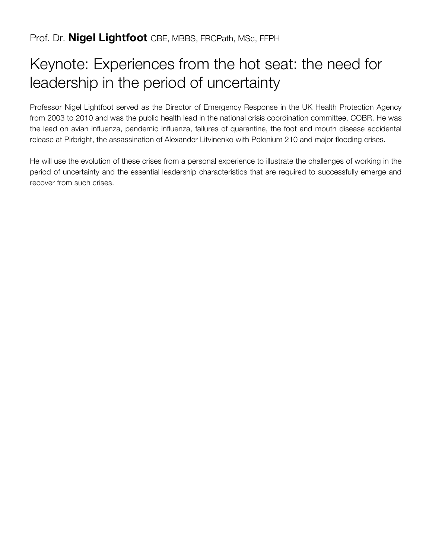# Keynote: Experiences from the hot seat: the need for leadership in the period of uncertainty

Professor Nigel Lightfoot served as the Director of Emergency Response in the UK Health Protection Agency from 2003 to 2010 and was the public health lead in the national crisis coordination committee, COBR. He was the lead on avian influenza, pandemic influenza, failures of quarantine, the foot and mouth disease accidental release at Pirbright, the assassination of Alexander Litvinenko with Polonium 210 and major flooding crises.

He will use the evolution of these crises from a personal experience to illustrate the challenges of working in the period of uncertainty and the essential leadership characteristics that are required to successfully emerge and recover from such crises.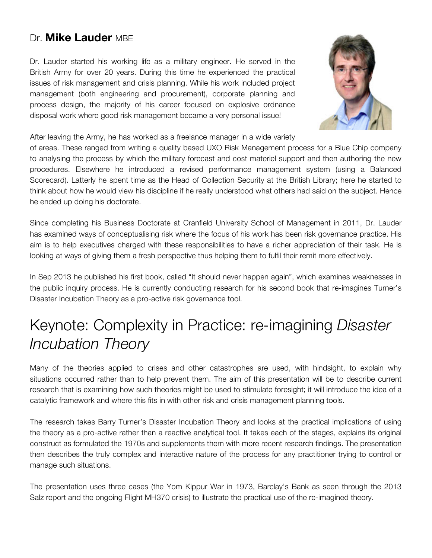### Dr. **Mike Lauder** MBE

Dr. Lauder started his working life as a military engineer. He served in the British Army for over 20 years. During this time he experienced the practical issues of risk management and crisis planning. While his work included project management (both engineering and procurement), corporate planning and process design, the majority of his career focused on explosive ordnance disposal work where good risk management became a very personal issue!



After leaving the Army, he has worked as a freelance manager in a wide variety

of areas. These ranged from writing a quality based UXO Risk Management process for a Blue Chip company to analysing the process by which the military forecast and cost materiel support and then authoring the new procedures. Elsewhere he introduced a revised performance management system (using a Balanced Scorecard). Latterly he spent time as the Head of Collection Security at the British Library; here he started to think about how he would view his discipline if he really understood what others had said on the subject. Hence he ended up doing his doctorate.

Since completing his Business Doctorate at Cranfield University School of Management in 2011, Dr. Lauder has examined ways of conceptualising risk where the focus of his work has been risk governance practice. His aim is to help executives charged with these responsibilities to have a richer appreciation of their task. He is looking at ways of giving them a fresh perspective thus helping them to fulfil their remit more effectively.

In Sep 2013 he published his first book, called "It should never happen again", which examines weaknesses in the public inquiry process. He is currently conducting research for his second book that re-imagines Turner's Disaster Incubation Theory as a pro-active risk governance tool.

# Keynote: Complexity in Practice: re-imagining *Disaster Incubation Theory*

Many of the theories applied to crises and other catastrophes are used, with hindsight, to explain why situations occurred rather than to help prevent them. The aim of this presentation will be to describe current research that is examining how such theories might be used to stimulate foresight; it will introduce the idea of a catalytic framework and where this fits in with other risk and crisis management planning tools.

The research takes Barry Turner's Disaster Incubation Theory and looks at the practical implications of using the theory as a pro-active rather than a reactive analytical tool. It takes each of the stages, explains its original construct as formulated the 1970s and supplements them with more recent research findings. The presentation then describes the truly complex and interactive nature of the process for any practitioner trying to control or manage such situations.

The presentation uses three cases (the Yom Kippur War in 1973, Barclay's Bank as seen through the 2013 Salz report and the ongoing Flight MH370 crisis) to illustrate the practical use of the re-imagined theory.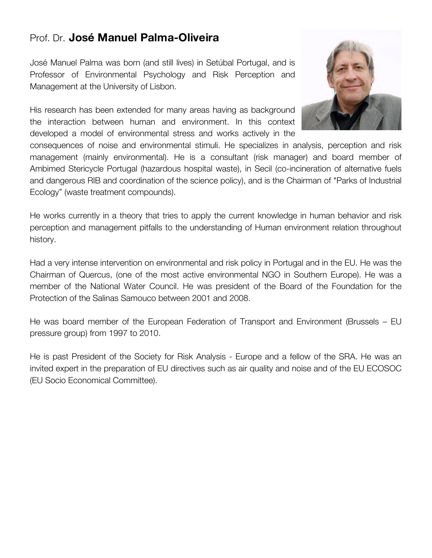#### Prof. Dr. **José Manuel Palma-Oliveira**

José Manuel Palma was born (and still lives) in Setúbal Portugal, and is Professor of Environmental Psychology and Risk Perception and Management at the University of Lisbon.

His research has been extended for many areas having as background the interaction between human and environment. In this context developed a model of environmental stress and works actively in the



consequences of noise and environmental stimuli. He specializes in analysis, perception and risk management (mainly environmental). He is a consultant (risk manager) and board member of Ambimed Stericycle Portugal (hazardous hospital waste), in Secil (co-incineration of alternative fuels and dangerous RIB and coordination of the science policy), and is the Chairman of "Parks of Industrial Ecology" (waste treatment compounds).

He works currently in a theory that tries to apply the current knowledge in human behavior and risk perception and management pitfalls to the understanding of Human environment relation throughout history.

Had a very intense intervention on environmental and risk policy in Portugal and in the EU. He was the Chairman of Quercus, (one of the most active environmental NGO in Southern Europe). He was a member of the National Water Council. He was president of the Board of the Foundation for the Protection of the Salinas Samouco between 2001 and 2008.

He was board member of the European Federation of Transport and Environment (Brussels – EU pressure group) from 1997 to 2010.

He is past President of the Society for Risk Analysis - Europe and a fellow of the SRA. He was an invited expert in the preparation of EU directives such as air quality and noise and of the EU ECOSOC (EU Socio Economical Committee).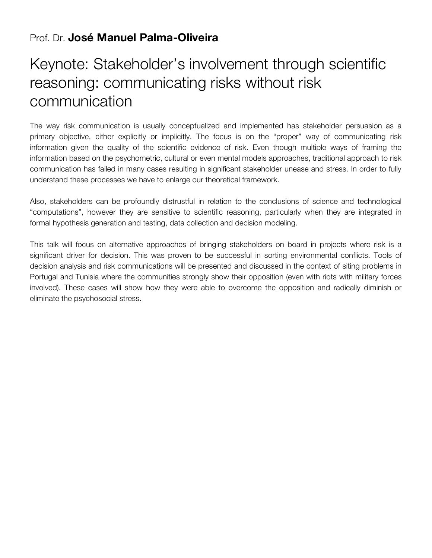#### Prof. Dr. **José Manuel Palma-Oliveira**

# Keynote: Stakeholder's involvement through scientific reasoning: communicating risks without risk communication

The way risk communication is usually conceptualized and implemented has stakeholder persuasion as a primary objective, either explicitly or implicitly. The focus is on the "proper" way of communicating risk information given the quality of the scientific evidence of risk. Even though multiple ways of framing the information based on the psychometric, cultural or even mental models approaches, traditional approach to risk communication has failed in many cases resulting in significant stakeholder unease and stress. In order to fully understand these processes we have to enlarge our theoretical framework.

Also, stakeholders can be profoundly distrustful in relation to the conclusions of science and technological "computations", however they are sensitive to scientific reasoning, particularly when they are integrated in formal hypothesis generation and testing, data collection and decision modeling.

This talk will focus on alternative approaches of bringing stakeholders on board in projects where risk is a significant driver for decision. This was proven to be successful in sorting environmental conflicts. Tools of decision analysis and risk communications will be presented and discussed in the context of siting problems in Portugal and Tunisia where the communities strongly show their opposition (even with riots with military forces involved). These cases will show how they were able to overcome the opposition and radically diminish or eliminate the psychosocial stress.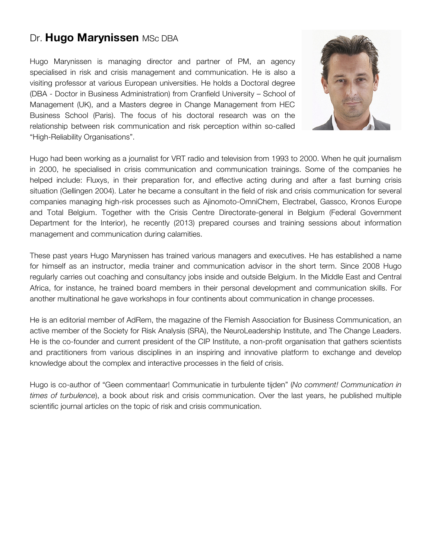### Dr. Hugo Marynissen MSc DBA

Hugo Marynissen is managing director and partner of PM, an agency specialised in risk and crisis management and communication. He is also a visiting professor at various European universities. He holds a Doctoral degree (DBA - Doctor in Business Administration) from Cranfield University – School of Management (UK), and a Masters degree in Change Management from HEC Business School (Paris). The focus of his doctoral research was on the relationship between risk communication and risk perception within so-called "High-Reliability Organisations".



Hugo had been working as a journalist for VRT radio and television from 1993 to 2000. When he quit journalism in 2000, he specialised in crisis communication and communication trainings. Some of the companies he helped include: Fluxys, in their preparation for, and effective acting during and after a fast burning crisis situation (Gellingen 2004). Later he became a consultant in the field of risk and crisis communication for several companies managing high-risk processes such as Ajinomoto-OmniChem, Electrabel, Gassco, Kronos Europe and Total Belgium. Together with the Crisis Centre Directorate-general in Belgium (Federal Government Department for the Interior), he recently (2013) prepared courses and training sessions about information management and communication during calamities.

These past years Hugo Marynissen has trained various managers and executives. He has established a name for himself as an instructor, media trainer and communication advisor in the short term. Since 2008 Hugo regularly carries out coaching and consultancy jobs inside and outside Belgium. In the Middle East and Central Africa, for instance, he trained board members in their personal development and communication skills. For another multinational he gave workshops in four continents about communication in change processes.

He is an editorial member of AdRem, the magazine of the Flemish Association for Business Communication, an active member of the Society for Risk Analysis (SRA), the NeuroLeadership Institute, and The Change Leaders. He is the co-founder and current president of the CIP Institute, a non-profit organisation that gathers scientists and practitioners from various disciplines in an inspiring and innovative platform to exchange and develop knowledge about the complex and interactive processes in the field of crisis.

Hugo is co-author of "Geen commentaar! Communicatie in turbulente tijden" (*No comment! Communication in times of turbulence*), a book about risk and crisis communication. Over the last years, he published multiple scientific journal articles on the topic of risk and crisis communication.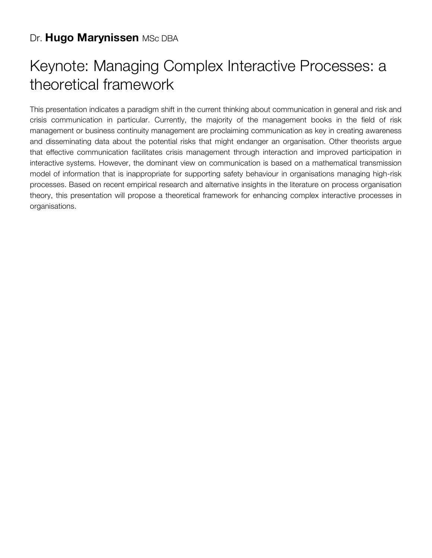### Dr. Hugo Marynissen MSc DBA

# Keynote: Managing Complex Interactive Processes: a theoretical framework

This presentation indicates a paradigm shift in the current thinking about communication in general and risk and crisis communication in particular. Currently, the majority of the management books in the field of risk management or business continuity management are proclaiming communication as key in creating awareness and disseminating data about the potential risks that might endanger an organisation. Other theorists argue that effective communication facilitates crisis management through interaction and improved participation in interactive systems. However, the dominant view on communication is based on a mathematical transmission model of information that is inappropriate for supporting safety behaviour in organisations managing high-risk processes. Based on recent empirical research and alternative insights in the literature on process organisation theory, this presentation will propose a theoretical framework for enhancing complex interactive processes in organisations.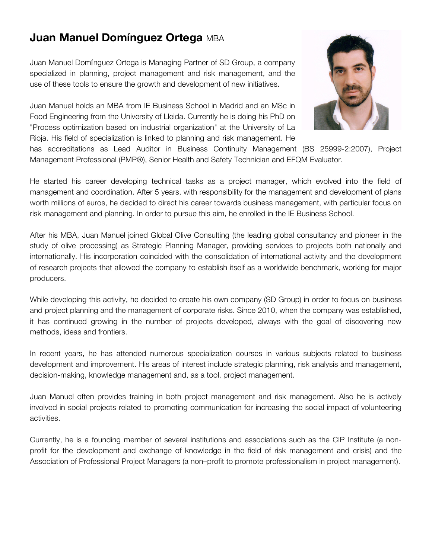# **Juan Manuel Domínguez Ortega** MBA

Juan Manuel Domínguez Ortega is Managing Partner of SD Group, a company specialized in planning, project management and risk management, and the use of these tools to ensure the growth and development of new initiatives.

Juan Manuel holds an MBA from IE Business School in Madrid and an MSc in Food Engineering from the University of Lleida. Currently he is doing his PhD on "Process optimization based on industrial organization" at the University of La Rioja. His field of specialization is linked to planning and risk management. He



has accreditations as Lead Auditor in Business Continuity Management (BS 25999-2:2007), Project Management Professional (PMP®), Senior Health and Safety Technician and EFQM Evaluator.

He started his career developing technical tasks as a project manager, which evolved into the field of management and coordination. After 5 years, with responsibility for the management and development of plans worth millions of euros, he decided to direct his career towards business management, with particular focus on risk management and planning. In order to pursue this aim, he enrolled in the IE Business School.

After his MBA, Juan Manuel joined Global Olive Consulting (the leading global consultancy and pioneer in the study of olive processing) as Strategic Planning Manager, providing services to projects both nationally and internationally. His incorporation coincided with the consolidation of international activity and the development of research projects that allowed the company to establish itself as a worldwide benchmark, working for major producers.

While developing this activity, he decided to create his own company (SD Group) in order to focus on business and project planning and the management of corporate risks. Since 2010, when the company was established, it has continued growing in the number of projects developed, always with the goal of discovering new methods, ideas and frontiers.

In recent years, he has attended numerous specialization courses in various subjects related to business development and improvement. His areas of interest include strategic planning, risk analysis and management, decision-making, knowledge management and, as a tool, project management.

Juan Manuel often provides training in both project management and risk management. Also he is actively involved in social projects related to promoting communication for increasing the social impact of volunteering activities.

Currently, he is a founding member of several institutions and associations such as the CIP Institute (a nonprofit for the development and exchange of knowledge in the field of risk management and crisis) and the Association of Professional Project Managers (a non–profit to promote professionalism in project management).